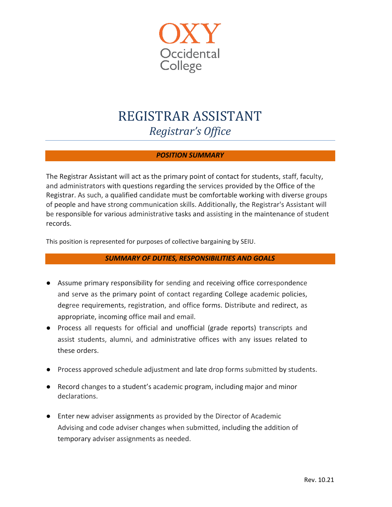

# REGISTRAR ASSISTANT *Registrar's Office*

# *POSITION SUMMARY*

The Registrar Assistant will act as the primary point of contact for students, staff, faculty, and administrators with questions regarding the services provided by the Office of the Registrar. As such, a qualified candidate must be comfortable working with diverse groups of people and have strong communication skills. Additionally, the Registrar's Assistant will be responsible for various administrative tasks and assisting in the maintenance of student records.

This position is represented for purposes of collective bargaining by SEIU.

## *SUMMARY OF DUTIES, RESPONSIBILITIES AND GOALS*

- Assume primary responsibility for sending and receiving office correspondence and serve as the primary point of contact regarding College academic policies, degree requirements, registration, and office forms. Distribute and redirect, as appropriate, incoming office mail and email.
- Process all requests for official and unofficial (grade reports) transcripts and assist students, alumni, and administrative offices with any issues related to these orders.
- Process approved schedule adjustment and late drop forms submitted by students.
- Record changes to a student's academic program, including major and minor declarations.
- Enter new adviser assignments as provided by the Director of Academic Advising and code adviser changes when submitted, including the addition of temporary adviser assignments as needed.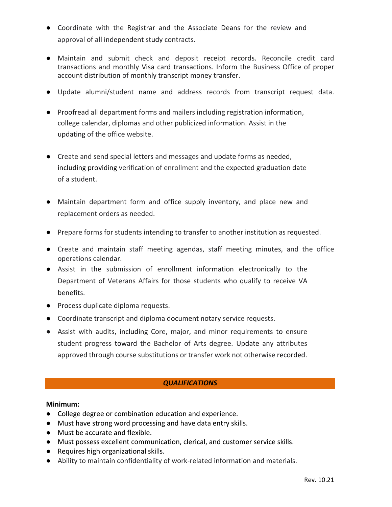- Coordinate with the Registrar and the Associate Deans for the review and approval of all independent study contracts.
- Maintain and submit check and deposit receipt records. Reconcile credit card transactions and monthly Visa card transactions. Inform the Business Office of proper account distribution of monthly transcript money transfer.
- Update alumni/student name and address records from transcript request data.
- Proofread all department forms and mailers including registration information, college calendar, diplomas and other publicized information. Assist in the updating of the office website.
- Create and send special letters and messages and update forms as needed, including providing verification of enrollment and the expected graduation date of a student.
- Maintain department form and office supply inventory, and place new and replacement orders as needed.
- Prepare forms for students intending to transfer to another institution as requested.
- Create and maintain staff meeting agendas, staff meeting minutes, and the office operations calendar.
- Assist in the submission of enrollment information electronically to the Department of Veterans Affairs for those students who qualify to receive VA benefits.
- Process duplicate diploma requests.
- Coordinate transcript and diploma document notary service requests.
- Assist with audits, including Core, major, and minor requirements to ensure student progress toward the Bachelor of Arts degree. Update any attributes approved through course substitutions or transfer work not otherwise recorded.

## *QUALIFICATIONS*

#### **Minimum:**

- College degree or combination education and experience.
- Must have strong word processing and have data entry skills.
- Must be accurate and flexible.
- Must possess excellent communication, clerical, and customer service skills.
- Requires high organizational skills.
- Ability to maintain confidentiality of work-related information and materials.